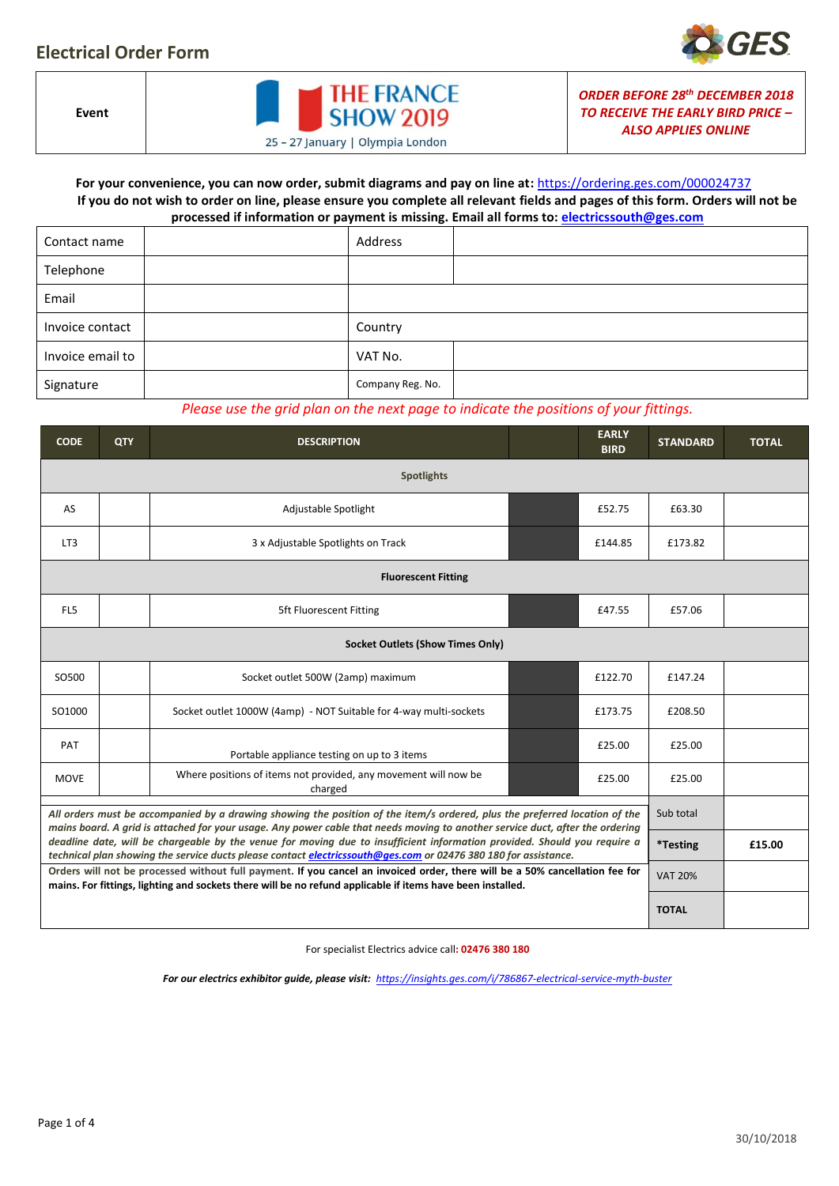## **Electrical Order Form**



**Event**



*ORDER BEFORE 28th DECEMBER 2018 TO RECEIVE THE EARLY BIRD PRICE – ALSO APPLIES ONLINE*

### **For your convenience, you can now order, submit diagrams and pay on line at:** <https://ordering.ges.com/000024737> **If you do not wish to order on line, please ensure you complete all relevant fields and pages of this form. Orders will not be processed if information or payment is missing. Email all forms to[: electricssouth@ges.com](mailto:electricssouth@ges.com)**

|                  | . . |                  |  |
|------------------|-----|------------------|--|
| Contact name     |     | Address          |  |
| Telephone        |     |                  |  |
| Email            |     |                  |  |
| Invoice contact  |     | Country          |  |
| Invoice email to |     | VAT No.          |  |
| Signature        |     | Company Reg. No. |  |

### *Please use the grid plan on the next page to indicate the positions of your fittings.*

| <b>CODE</b>                                                                                                                                                                                                                                                 | <b>QTY</b>     | <b>DESCRIPTION</b>                                                         | <b>EARLY</b><br><b>BIRD</b> | <b>STANDARD</b> | <b>TOTAL</b> |  |  |  |  |  |  |  |
|-------------------------------------------------------------------------------------------------------------------------------------------------------------------------------------------------------------------------------------------------------------|----------------|----------------------------------------------------------------------------|-----------------------------|-----------------|--------------|--|--|--|--|--|--|--|
|                                                                                                                                                                                                                                                             |                |                                                                            |                             |                 |              |  |  |  |  |  |  |  |
| AS                                                                                                                                                                                                                                                          |                | Adjustable Spotlight                                                       | £63.30                      |                 |              |  |  |  |  |  |  |  |
| LT3                                                                                                                                                                                                                                                         |                | 3 x Adjustable Spotlights on Track                                         | £173.82                     |                 |              |  |  |  |  |  |  |  |
| <b>Fluorescent Fitting</b>                                                                                                                                                                                                                                  |                |                                                                            |                             |                 |              |  |  |  |  |  |  |  |
| FL5                                                                                                                                                                                                                                                         |                | <b>5ft Fluorescent Fitting</b>                                             | £57.06                      |                 |              |  |  |  |  |  |  |  |
|                                                                                                                                                                                                                                                             |                |                                                                            |                             |                 |              |  |  |  |  |  |  |  |
| SO500                                                                                                                                                                                                                                                       |                | Socket outlet 500W (2amp) maximum                                          | £147.24                     |                 |              |  |  |  |  |  |  |  |
| SO1000                                                                                                                                                                                                                                                      |                | Socket outlet 1000W (4amp) - NOT Suitable for 4-way multi-sockets          | £173.75                     | £208.50         |              |  |  |  |  |  |  |  |
| PAT                                                                                                                                                                                                                                                         |                | Portable appliance testing on up to 3 items                                | £25.00                      | £25.00          |              |  |  |  |  |  |  |  |
| <b>MOVE</b>                                                                                                                                                                                                                                                 |                | Where positions of items not provided, any movement will now be<br>charged | £25.00                      |                 |              |  |  |  |  |  |  |  |
| All orders must be accompanied by a drawing showing the position of the item/s ordered, plus the preferred location of the<br>mains board. A grid is attached for your usage. Any power cable that needs moving to another service duct, after the ordering | Sub total      |                                                                            |                             |                 |              |  |  |  |  |  |  |  |
| deadline date, will be chargeable by the venue for moving due to insufficient information provided. Should you require a<br>technical plan showing the service ducts please contact electricssouth@ges.com or 02476 380 180 for assistance.                 | *Testing       | £15.00                                                                     |                             |                 |              |  |  |  |  |  |  |  |
| Orders will not be processed without full payment. If you cancel an invoiced order, there will be a 50% cancellation fee for<br>mains. For fittings, lighting and sockets there will be no refund applicable if items have been installed.                  | <b>VAT 20%</b> |                                                                            |                             |                 |              |  |  |  |  |  |  |  |
|                                                                                                                                                                                                                                                             | <b>TOTAL</b>   |                                                                            |                             |                 |              |  |  |  |  |  |  |  |

For specialist Electrics advice call**: 02476 380 180**

*For our electrics exhibitor guide, please visit: <https://insights.ges.com/i/786867-electrical-service-myth-buster>*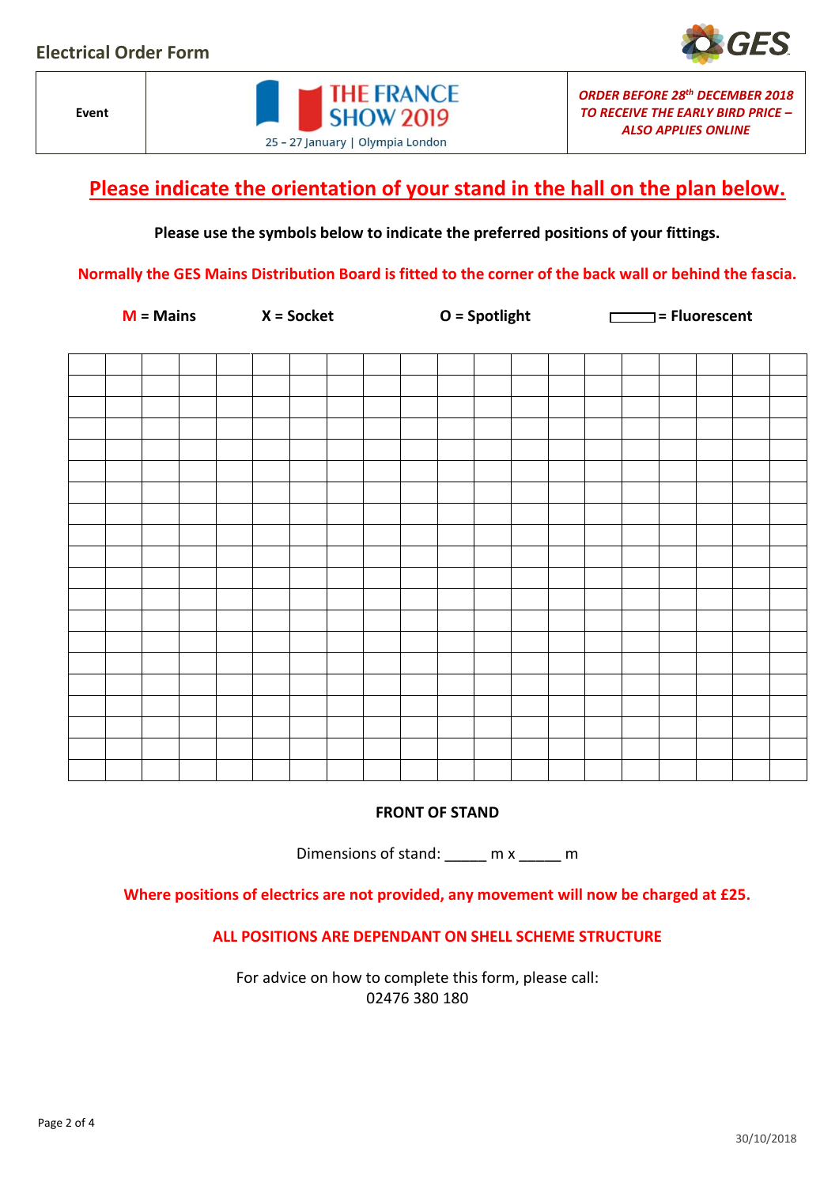**Event**

# **Please indicate the orientation of your stand in the hall on the plan below.**

**THE FRANCE SHOW 2019** 

25 - 27 January | Olympia London

### **Please use the symbols below to indicate the preferred positions of your fittings.**

**Normally the GES Mains Distribution Board is fitted to the corner of the back wall or behind the fascia.** 

**M = Mains X = Socket O = Spotlight = Fluorescent**

*ORDER BEFORE 28th DECEMBER 2018 TO RECEIVE THE EARLY BIRD PRICE – ALSO APPLIES ONLINE*

**FRONT OF STAND**

Dimensions of stand: \_\_\_\_\_ m x \_\_\_\_ m

**Where positions of electrics are not provided, any movement will now be charged at £25.**

**ALL POSITIONS ARE DEPENDANT ON SHELL SCHEME STRUCTURE**

For advice on how to complete this form, please call: 02476 380 180

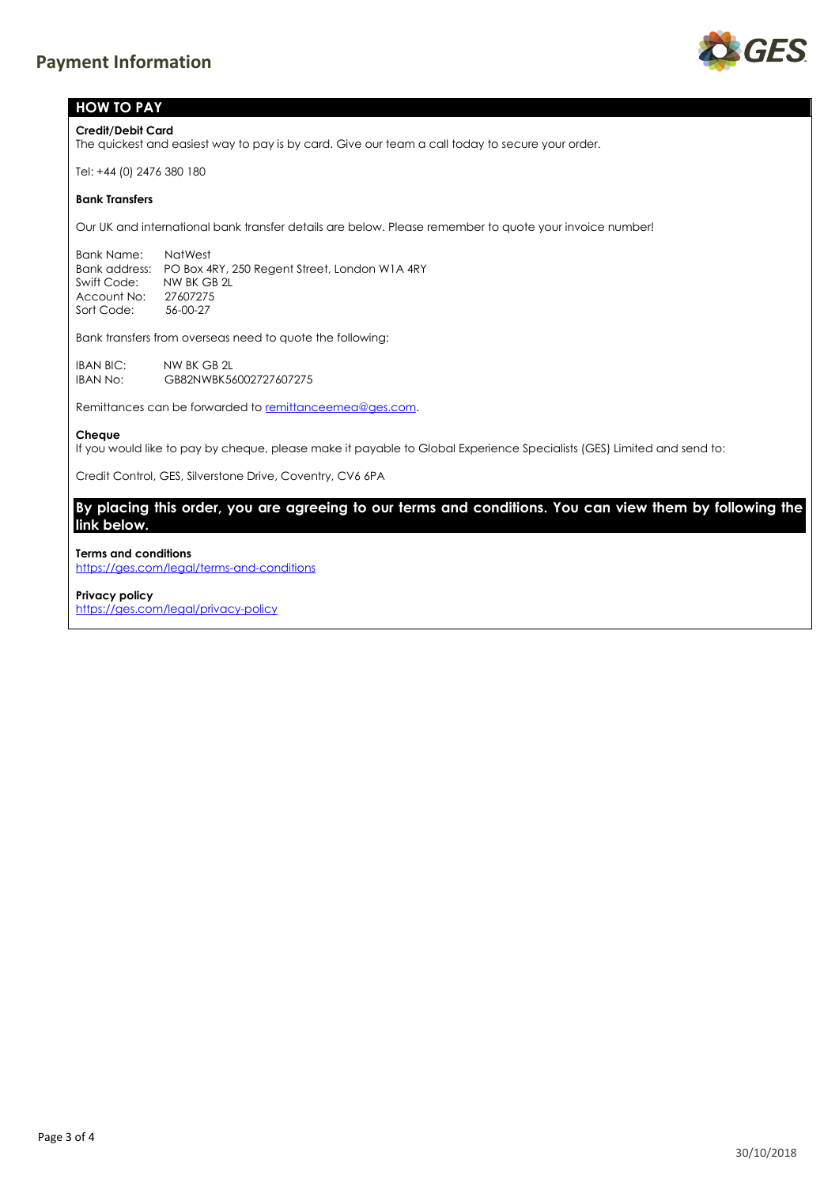

### **HOW TO PAY**

**Credit/Debit Card**

The quickest and easiest way to pay is by card. Give our team a call today to secure your order.

Tel: +44 (0) 2476 380 180

### **Bank Transfers**

Our UK and international bank transfer details are below. Please remember to quote your invoice number!

Bank Name: NatWest Bank address: PO Box 4RY, 250 Regent Street, London W1A 4RY Swift Code: NW BK GB 2L Account No: 27607275 Sort Code: 56-00-27

Bank transfers from overseas need to quote the following:

IBAN BIC: NW BK GB 2L<br>IBAN No: GB82NWBK56 GB82NWBK56002727607275

Remittances can be forwarded to remittanceemea@ges.com.

#### **Cheque**

If you would like to pay by cheque, please make it payable to Global Experience Specialists (GES) Limited and send to:

Credit Control, GES, Silverstone Drive, Coventry, CV6 6PA

**By placing this order, you are agreeing to our terms and conditions. You can view them by following the link below.**

### **Terms and conditions**

<https://ges.com/legal/terms-and-conditions>

#### **Privacy policy**

<https://ges.com/legal/privacy-policy>